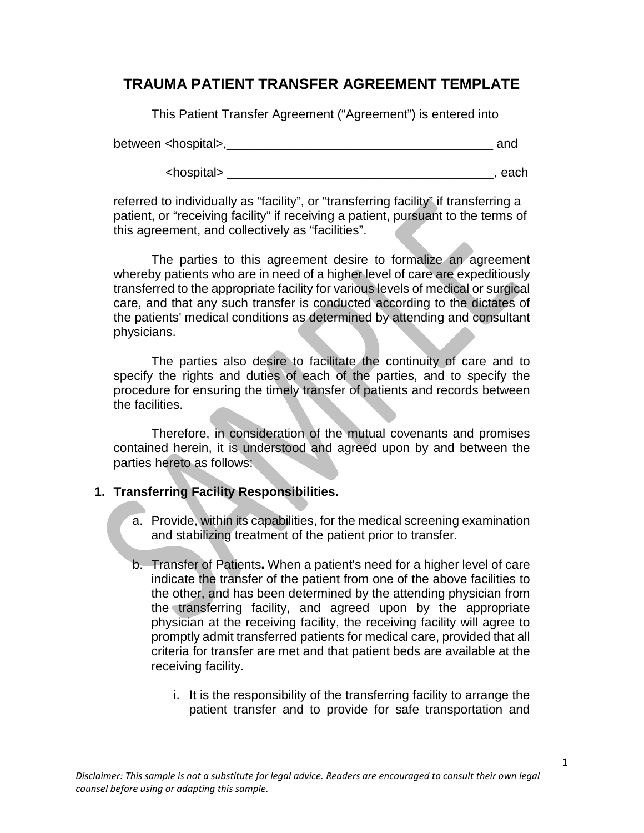## **TRAUMA PATIENT TRANSFER AGREEMENT TEMPLATE**

This Patient Transfer Agreement ("Agreement") is entered into

between <hospital>,\_\_\_\_\_\_\_\_\_\_\_\_\_\_\_\_\_\_\_\_\_\_\_\_\_\_\_\_\_\_\_\_\_\_\_\_\_\_ and

<hospital> \_\_\_\_\_\_\_\_\_\_\_\_\_\_\_\_\_\_\_\_\_\_\_\_\_\_\_\_\_\_\_\_\_\_\_\_\_\_, each

referred to individually as "facility", or "transferring facility" if transferring a patient, or "receiving facility" if receiving a patient, pursuant to the terms of this agreement, and collectively as "facilities".

The parties to this agreement desire to formalize an agreement whereby patients who are in need of a higher level of care are expeditiously transferred to the appropriate facility for various levels of medical or surgical care, and that any such transfer is conducted according to the dictates of the patients' medical conditions as determined by attending and consultant physicians.

The parties also desire to facilitate the continuity of care and to specify the rights and duties of each of the parties, and to specify the procedure for ensuring the timely transfer of patients and records between the facilities.

Therefore, in consideration of the mutual covenants and promises contained herein, it is understood and agreed upon by and between the parties hereto as follows:

## **1. Transferring Facility Responsibilities.**

- a. Provide, within its capabilities, for the medical screening examination and stabilizing treatment of the patient prior to transfer.
- b. Transfer of Patients**.** When a patient's need for a higher level of care indicate the transfer of the patient from one of the above facilities to the other, and has been determined by the attending physician from the transferring facility, and agreed upon by the appropriate physician at the receiving facility, the receiving facility will agree to promptly admit transferred patients for medical care, provided that all criteria for transfer are met and that patient beds are available at the receiving facility.
	- i. It is the responsibility of the transferring facility to arrange the patient transfer and to provide for safe transportation and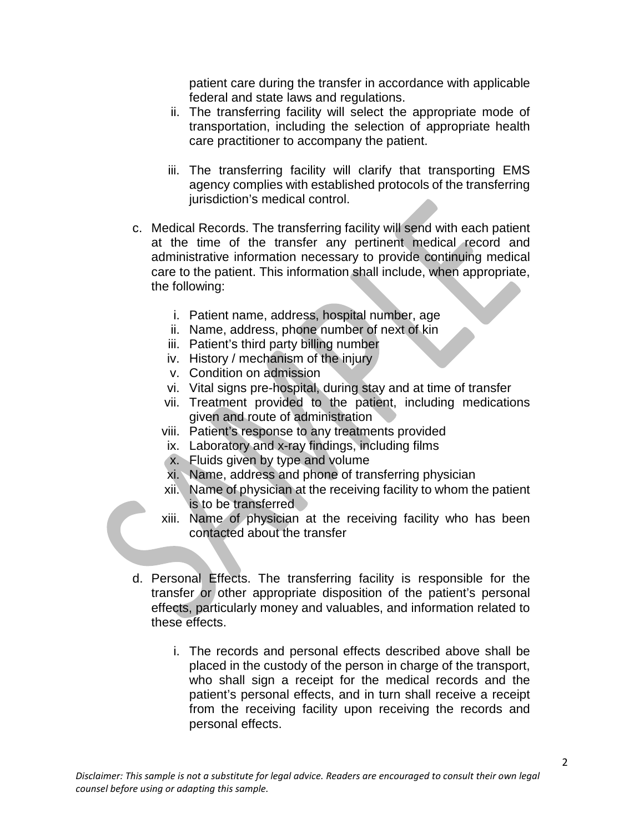patient care during the transfer in accordance with applicable federal and state laws and regulations.

- ii. The transferring facility will select the appropriate mode of transportation, including the selection of appropriate health care practitioner to accompany the patient.
- iii. The transferring facility will clarify that transporting EMS agency complies with established protocols of the transferring jurisdiction's medical control.
- c. Medical Records. The transferring facility will send with each patient at the time of the transfer any pertinent medical record and administrative information necessary to provide continuing medical care to the patient. This information shall include, when appropriate, the following:
	- i. Patient name, address, hospital number, age
	- ii. Name, address, phone number of next of kin
	- iii. Patient's third party billing number
	- iv. History / mechanism of the injury
	- v. Condition on admission
	- vi. Vital signs pre-hospital, during stay and at time of transfer
	- vii. Treatment provided to the patient, including medications given and route of administration
	- viii. Patient's response to any treatments provided
	- ix. Laboratory and x-ray findings, including films
	- x. Fluids given by type and volume
	- xi. Name, address and phone of transferring physician
	- xii. Name of physician at the receiving facility to whom the patient is to be transferred
	- xiii. Name of physician at the receiving facility who has been contacted about the transfer
- d. Personal Effects. The transferring facility is responsible for the transfer or other appropriate disposition of the patient's personal effects, particularly money and valuables, and information related to these effects.
	- i. The records and personal effects described above shall be placed in the custody of the person in charge of the transport, who shall sign a receipt for the medical records and the patient's personal effects, and in turn shall receive a receipt from the receiving facility upon receiving the records and personal effects.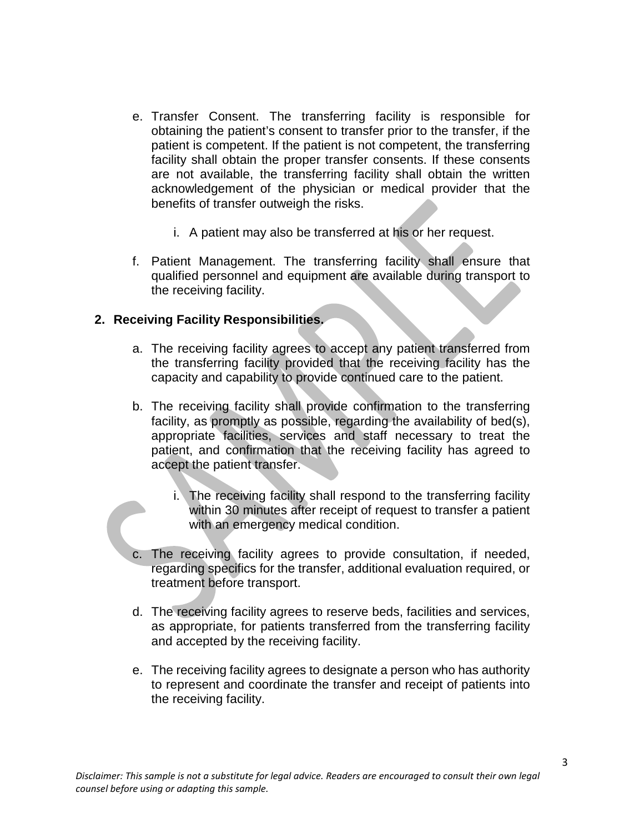- e. Transfer Consent. The transferring facility is responsible for obtaining the patient's consent to transfer prior to the transfer, if the patient is competent. If the patient is not competent, the transferring facility shall obtain the proper transfer consents. If these consents are not available, the transferring facility shall obtain the written acknowledgement of the physician or medical provider that the benefits of transfer outweigh the risks.
	- i. A patient may also be transferred at his or her request.
- f. Patient Management. The transferring facility shall ensure that qualified personnel and equipment are available during transport to the receiving facility.

## **2. Receiving Facility Responsibilities.**

- a. The receiving facility agrees to accept any patient transferred from the transferring facility provided that the receiving facility has the capacity and capability to provide continued care to the patient.
- b. The receiving facility shall provide confirmation to the transferring facility, as promptly as possible, regarding the availability of bed(s), appropriate facilities, services and staff necessary to treat the patient, and confirmation that the receiving facility has agreed to accept the patient transfer.
	- i. The receiving facility shall respond to the transferring facility within 30 minutes after receipt of request to transfer a patient with an emergency medical condition.
- c. The receiving facility agrees to provide consultation, if needed, regarding specifics for the transfer, additional evaluation required, or treatment before transport.
- d. The receiving facility agrees to reserve beds, facilities and services, as appropriate, for patients transferred from the transferring facility and accepted by the receiving facility.
- e. The receiving facility agrees to designate a person who has authority to represent and coordinate the transfer and receipt of patients into the receiving facility.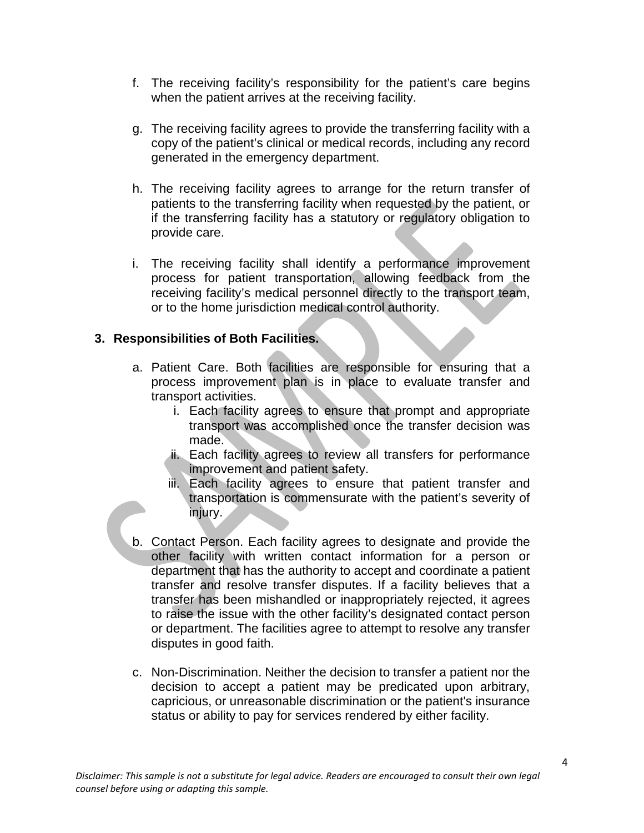- f. The receiving facility's responsibility for the patient's care begins when the patient arrives at the receiving facility.
- g. The receiving facility agrees to provide the transferring facility with a copy of the patient's clinical or medical records, including any record generated in the emergency department.
- h. The receiving facility agrees to arrange for the return transfer of patients to the transferring facility when requested by the patient, or if the transferring facility has a statutory or regulatory obligation to provide care.
- i. The receiving facility shall identify a performance improvement process for patient transportation, allowing feedback from the receiving facility's medical personnel directly to the transport team, or to the home jurisdiction medical control authority.

## **3. Responsibilities of Both Facilities.**

- a. Patient Care. Both facilities are responsible for ensuring that a process improvement plan is in place to evaluate transfer and transport activities.
	- i. Each facility agrees to ensure that prompt and appropriate transport was accomplished once the transfer decision was made.
	- ii. Each facility agrees to review all transfers for performance improvement and patient safety.
	- iii. Each facility agrees to ensure that patient transfer and transportation is commensurate with the patient's severity of injury.
- b. Contact Person. Each facility agrees to designate and provide the other facility with written contact information for a person or department that has the authority to accept and coordinate a patient transfer and resolve transfer disputes. If a facility believes that a transfer has been mishandled or inappropriately rejected, it agrees to raise the issue with the other facility's designated contact person or department. The facilities agree to attempt to resolve any transfer disputes in good faith.
- c. Non-Discrimination. Neither the decision to transfer a patient nor the decision to accept a patient may be predicated upon arbitrary, capricious, or unreasonable discrimination or the patient's insurance status or ability to pay for services rendered by either facility.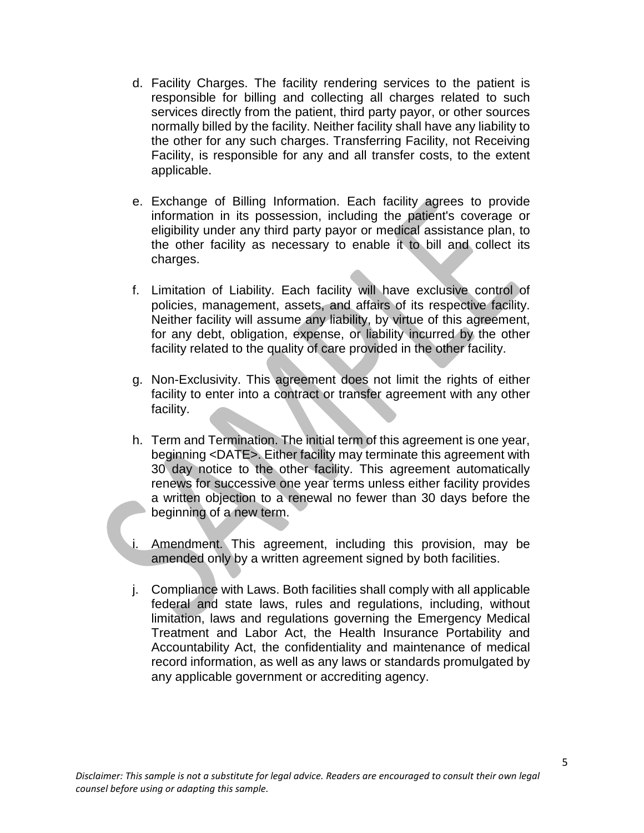- d. Facility Charges. The facility rendering services to the patient is responsible for billing and collecting all charges related to such services directly from the patient, third party payor, or other sources normally billed by the facility. Neither facility shall have any liability to the other for any such charges. Transferring Facility, not Receiving Facility, is responsible for any and all transfer costs, to the extent applicable.
- e. Exchange of Billing Information. Each facility agrees to provide information in its possession, including the patient's coverage or eligibility under any third party payor or medical assistance plan, to the other facility as necessary to enable it to bill and collect its charges.
- f. Limitation of Liability. Each facility will have exclusive control of policies, management, assets, and affairs of its respective facility. Neither facility will assume any liability, by virtue of this agreement, for any debt, obligation, expense, or liability incurred by the other facility related to the quality of care provided in the other facility.
- g. Non-Exclusivity. This agreement does not limit the rights of either facility to enter into a contract or transfer agreement with any other facility.
- h. Term and Termination. The initial term of this agreement is one year, beginning <DATE>. Either facility may terminate this agreement with 30 day notice to the other facility. This agreement automatically renews for successive one year terms unless either facility provides a written objection to a renewal no fewer than 30 days before the beginning of a new term.
- i. Amendment. This agreement, including this provision, may be amended only by a written agreement signed by both facilities.
- j. Compliance with Laws. Both facilities shall comply with all applicable federal and state laws, rules and regulations, including, without limitation, laws and regulations governing the Emergency Medical Treatment and Labor Act, the Health Insurance Portability and Accountability Act, the confidentiality and maintenance of medical record information, as well as any laws or standards promulgated by any applicable government or accrediting agency.